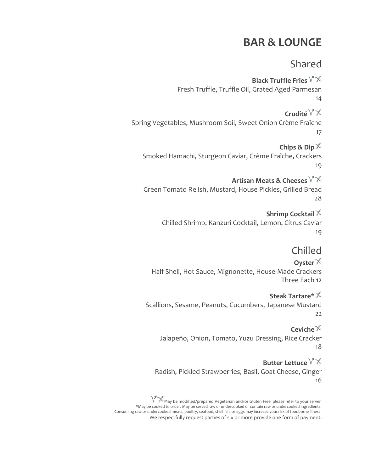## **BAR & LOUNGE**

### Shared

**Black Truffle Fries** Fresh Truffle, Truffle Oil, Grated Aged Parmesan 14

**Crudité** Spring Vegetables, Mushroom Soil, Sweet Onion Crème Fraîche 17

**Chips & Dip** Smoked Hamachi, Sturgeon Caviar, Crème Fraîche, Crackers 19

**Artisan Meats & Cheeses** Green Tomato Relish, Mustard, House Pickles, Grilled Bread 28

> **Shrimp Cocktail** Chilled Shrimp, Kanzuri Cocktail, Lemon, Citrus Caviar 19

#### Chilled

**Oyster** Half Shell, Hot Sauce, Mignonette, House-Made Crackers Three Each 12

**Steak Tartare\*** Scallions, Sesame, Peanuts, Cucumbers, Japanese Mustard 22

**Ceviche** Jalapeño, Onion, Tomato, Yuzu Dressing, Rice Cracker 18

**Butter Lettuce** Radish, Pickled Strawberries, Basil, Goat Cheese, Ginger 16

 $\sqrt[3]{\mathcal{K}}$ May be modified/prepared Vegetarian and/or Gluten Free, please refer to your server. \*May be cooked to order. May be served raw or undercooked or contain raw or undercooked ingredients. Consuming raw or undercooked meats, poultry, seafood, shellfish, or eggs may increase your risk of foodborne illness. We respectfully request parties of six or more provide one form of payment.